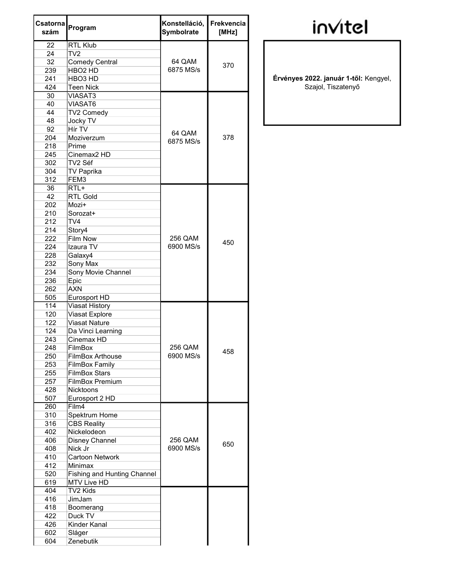| Csatorna<br>szám | Program                            | Konstelláció,<br>Symbolrate | Frekvencia<br>[MHz] |
|------------------|------------------------------------|-----------------------------|---------------------|
| 22               | <b>RTL Klub</b>                    |                             |                     |
| 24               | TV <sub>2</sub>                    |                             |                     |
| 32               | <b>Comedy Central</b>              | 64 QAM                      | 370                 |
| 239              | HBO <sub>2</sub> HD                | 6875 MS/s                   |                     |
| 241              | HBO3 HD                            |                             |                     |
| 424              | <b>Teen Nick</b>                   |                             |                     |
| 30               | <b>VIASAT3</b>                     |                             |                     |
| 40               | <b>VIASAT6</b>                     |                             |                     |
| 44               | TV2 Comedy                         |                             |                     |
| 48               | Jocky TV                           |                             |                     |
| 92               | Hír TV                             | 64 QAM                      |                     |
| 204              | Moziverzum                         | 6875 MS/s                   | 378                 |
| 218              | Prime                              |                             |                     |
| 245              | Cinemax <sub>2</sub> HD            |                             |                     |
| 302              | TV2 Séf                            |                             |                     |
| 304              | TV Paprika                         |                             |                     |
| 312              | FEM3                               |                             |                     |
| 36               | $RTL+$                             |                             |                     |
| 42               | <b>RTL Gold</b>                    |                             |                     |
| 202              | Mozi+                              |                             |                     |
| 210              | Sorozat+                           |                             |                     |
| 212              | TV4                                |                             |                     |
| 214              | Story4                             |                             |                     |
| 222              | <b>Film Now</b>                    | 256 QAM                     | 450                 |
| 224              | Izaura TV                          | 6900 MS/s                   |                     |
| 228              | Galaxy4                            |                             |                     |
| 232              | Sony Max                           |                             |                     |
| 234              | Sony Movie Channel                 |                             |                     |
| 236              | Epic                               |                             |                     |
| 262              | <b>AXN</b>                         |                             |                     |
| 505              | Eurosport HD                       |                             |                     |
| 114              | <b>Viasat History</b>              |                             |                     |
| 120              | Viasat Explore                     |                             |                     |
| 122              | <b>Viasat Nature</b>               |                             |                     |
| 124              | Da Vinci Learning                  |                             |                     |
| 243              | Cinemax HD                         |                             |                     |
| 248              | FilmBox                            | 256 QAM                     | 458                 |
| 250              | <b>FilmBox Arthouse</b>            | 6900 MS/s                   |                     |
| 253              | <b>FilmBox Family</b>              |                             |                     |
| 255              | <b>FilmBox Stars</b>               |                             |                     |
| 257              | <b>FilmBox Premium</b>             |                             |                     |
| 428              | <b>Nicktoons</b>                   |                             |                     |
| 507              | Eurosport 2 HD                     |                             |                     |
| 260              | Film4                              |                             |                     |
| 310              | Spektrum Home                      |                             |                     |
| 316              | <b>CBS Reality</b>                 |                             |                     |
| 402              | Nickelodeon                        |                             |                     |
| 406              | Disney Channel                     | 256 QAM                     | 650                 |
| 408              | Nick Jr                            | 6900 MS/s                   |                     |
| 410              | Cartoon Network                    |                             |                     |
| 412              | Minimax                            |                             |                     |
| 520              | <b>Fishing and Hunting Channel</b> |                             |                     |
| 619              | <b>MTV Live HD</b>                 |                             |                     |
| 404              | TV2 Kids                           |                             |                     |
| 416              | JimJam                             |                             |                     |
| 418              | Boomerang                          |                             |                     |
| 422              | Duck TV                            |                             |                     |
| 426              | Kinder Kanal                       |                             |                     |
| 602              | Sláger                             |                             |                     |
| 604              | Zenebutik                          |                             |                     |

## invitel

Érvényes 2022. január 1-től: Kengyel, Szajol, Tiszatenyő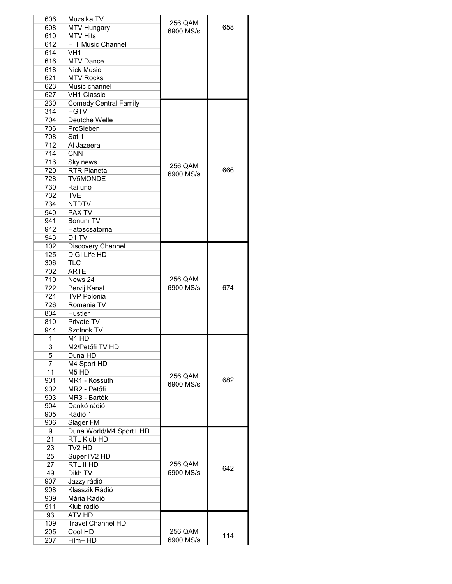| 606         | Muzsika TV                                         | 256 QAM   |     |
|-------------|----------------------------------------------------|-----------|-----|
| 608         | <b>MTV Hungary</b>                                 | 6900 MS/s | 658 |
| 610         | <b>MTV Hits</b>                                    |           |     |
| 612         | <b>H!T Music Channel</b>                           |           |     |
| 614         | VH <sub>1</sub>                                    |           |     |
| 616         | <b>MTV Dance</b>                                   |           |     |
| 618         | <b>Nick Music</b>                                  |           |     |
| 621         | <b>MTV Rocks</b>                                   |           |     |
| 623         | Music channel                                      |           |     |
| 627         | <b>VH1 Classic</b><br><b>Comedy Central Family</b> |           |     |
| 230<br>314  | <b>HGTV</b>                                        |           |     |
| 704         | Deutche Welle                                      |           |     |
| 706         | ProSieben                                          |           |     |
| 708         | Sat 1                                              |           |     |
| 712         | Al Jazeera                                         |           |     |
| 714         | <b>CNN</b>                                         |           |     |
| 716         | Sky news                                           |           |     |
| 720         | <b>RTR Planeta</b>                                 | 256 QAM   | 666 |
| 728         | <b>TV5MONDE</b>                                    | 6900 MS/s |     |
| 730         | Rai uno                                            |           |     |
| 732         | <b>TVE</b>                                         |           |     |
| 734         | <b>NTDTV</b>                                       |           |     |
| 940         | PAX TV                                             |           |     |
| 941         | Bonum TV                                           |           |     |
| 942         | Hatoscsatorna                                      |           |     |
| 943         | D <sub>1</sub> TV                                  |           |     |
| 102         | Discovery Channel                                  |           |     |
| 125         | <b>DIGI Life HD</b>                                |           |     |
| 306         | TLC                                                |           |     |
| 702         | ARTE                                               |           |     |
| 710         | News 24                                            | 256 QAM   |     |
| 722         | Pervij Kanal                                       | 6900 MS/s | 674 |
| 724         | <b>TVP Polonia</b>                                 |           |     |
| 726         | Romania TV                                         |           |     |
| 804         | Hustler                                            |           |     |
| 810         | Private TV                                         |           |     |
| 944         | Szolnok TV                                         |           |     |
| $\mathbf 1$ | M1 HD                                              |           |     |
| 3           | M2/Petőfi TV HD                                    |           |     |
| 5           | Duna HD                                            |           |     |
| 7           | M4 Sport HD                                        |           |     |
| 11          | M <sub>5</sub> H <sub>D</sub>                      | 256 QAM   |     |
| 901         | MR1 - Kossuth                                      | 6900 MS/s | 682 |
| 902         | MR2 - Petőfi                                       |           |     |
| 903         | MR3 - Bartók                                       |           |     |
| 904         | Dankó rádió                                        |           |     |
| 905         | Rádió 1                                            |           |     |
| 906         | Sláger FM                                          |           |     |
| 9           | Duna World/M4 Sport+ HD                            |           |     |
| 21          | RTL Klub HD                                        |           |     |
| 23          | TV2 HD                                             |           |     |
| 25          | SuperTV2 HD                                        |           |     |
| 27          | RTL II HD                                          | 256 QAM   | 642 |
| 49          | Dikh TV                                            | 6900 MS/s |     |
| 907         | Jazzy rádió                                        |           |     |
| 908         | Klasszik Rádió                                     |           |     |
| 909         | Mária Rádió                                        |           |     |
| 911         | Klub rádió                                         |           |     |
| 93          | ATV HD                                             |           |     |
| 109         | <b>Travel Channel HD</b>                           |           |     |
| 205         | Cool HD                                            | 256 QAM   | 114 |
| 207         | Film+ HD                                           | 6900 MS/s |     |